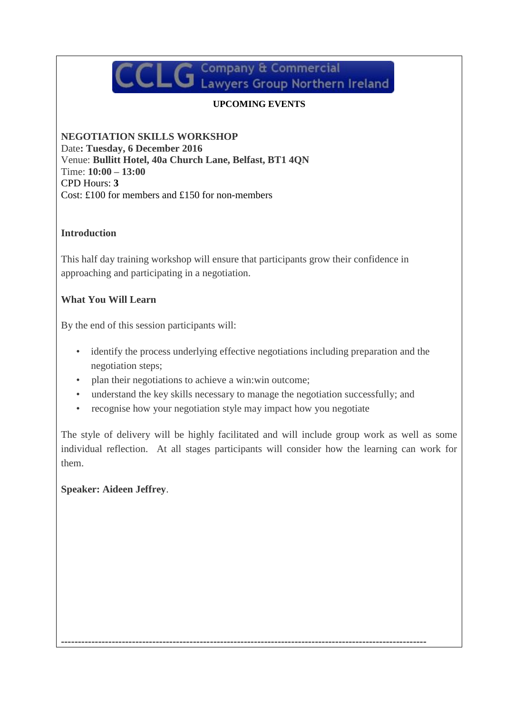# $\mathsf{CLG}$  Company & Commercial Lawyers Group Northern Ireland

## **UPCOMING EVENTS**

**NEGOTIATION SKILLS WORKSHOP** Date**: Tuesday, 6 December 2016** Venue: **Bullitt Hotel, 40a Church Lane, Belfast, BT1 4QN** Time: **10:00 – 13:00**  CPD Hours: **3** Cost: £100 for members and £150 for non-members

#### **Introduction**

This half day training workshop will ensure that participants grow their confidence in approaching and participating in a negotiation.

### **What You Will Learn**

By the end of this session participants will:

- identify the process underlying effective negotiations including preparation and the negotiation steps;
- plan their negotiations to achieve a win:win outcome;
- understand the key skills necessary to manage the negotiation successfully; and

------------------------------------------------------------------------------------------------------------

• recognise how your negotiation style may impact how you negotiate

The style of delivery will be highly facilitated and will include group work as well as some individual reflection. At all stages participants will consider how the learning can work for them.

## **Speaker: Aideen Jeffrey**.